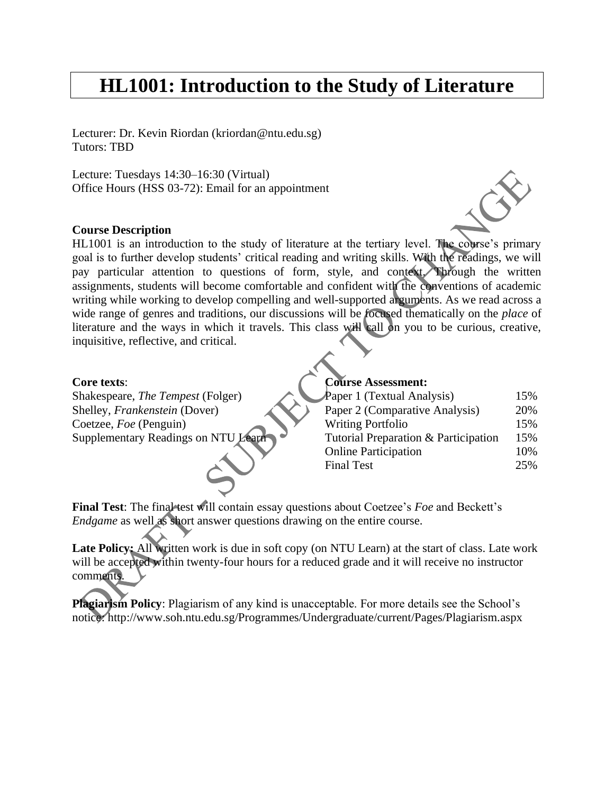# **HL1001: Introduction to the Study of Literature**

Lecturer: Dr. Kevin Riordan (kriordan@ntu.edu.sg) Tutors: TBD

Lecture: Tuesdays 14:30–16:30 (Virtual) Office Hours (HSS 03-72): Email for an appointment

### **Course Description**

HL1001 is an introduction to the study of literature at the tertiary level. The course's primary goal is to further develop students' critical reading and writing skills. With the readings, we will pay particular attention to questions of form, style, and context. Through the written assignments, students will become comfortable and confident with the conventions of academic writing while working to develop compelling and well-supported arguments. As we read across a wide range of genres and traditions, our discussions will be focused thematically on the *place* of literature and the ways in which it travels. This class will call on you to be curious, creative, inquisitive, reflective, and critical.

## **Core texts**:

Shakespeare, *The Tempest* (Folger) Shelley, *Frankenstein* (Dover) Coetzee, *Foe* (Penguin) Supplementary Readings on NTU Learn

#### **Course Assessment:**

| Paper 1 (Textual Analysis)           | 15% |
|--------------------------------------|-----|
| Paper 2 (Comparative Analysis)       | 20% |
| <b>Writing Portfolio</b>             | 15% |
| Tutorial Preparation & Participation | 15% |
| <b>Online Participation</b>          | 10% |
| <b>Final Test</b>                    | 25% |
|                                      |     |

**Final Test**: The final test will contain essay questions about Coetzee's *Foe* and Beckett's *Endgame* as well as short answer questions drawing on the entire course.

Late Policy: All written work is due in soft copy (on NTU Learn) at the start of class. Late work will be accepted within twenty-four hours for a reduced grade and it will receive no instructor comments.

**Plagiarism Policy**: Plagiarism of any kind is unacceptable. For more details see the School's notice: http://www.soh.ntu.edu.sg/Programmes/Undergraduate/current/Pages/Plagiarism.aspx